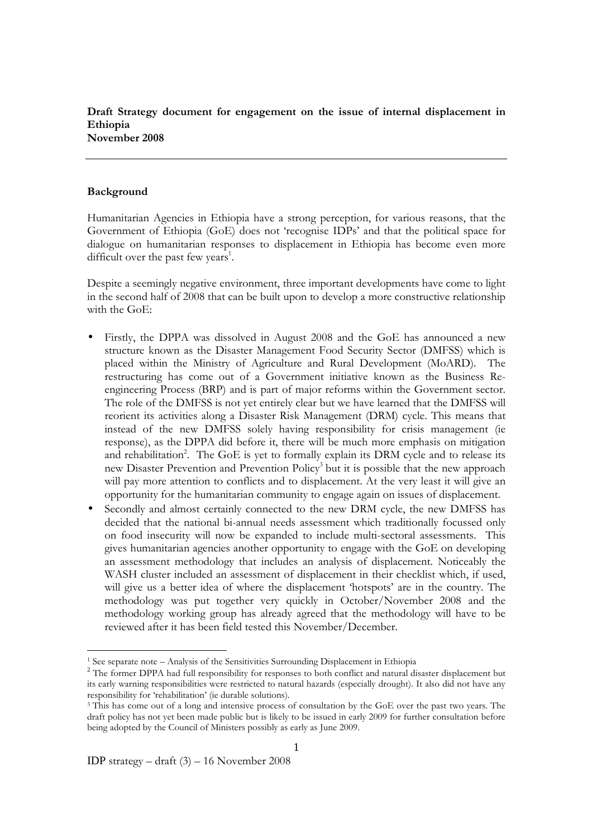Draft Strategy document for engagement on the issue of internal displacement in Ethiopia November 2008

#### Background

-

Humanitarian Agencies in Ethiopia have a strong perception, for various reasons, that the Government of Ethiopia (GoE) does not 'recognise IDPs' and that the political space for dialogue on humanitarian responses to displacement in Ethiopia has become even more difficult over the past few years<sup>1</sup>.

Despite a seemingly negative environment, three important developments have come to light in the second half of 2008 that can be built upon to develop a more constructive relationship with the GoE:

- Firstly, the DPPA was dissolved in August 2008 and the GoE has announced a new structure known as the Disaster Management Food Security Sector (DMFSS) which is placed within the Ministry of Agriculture and Rural Development (MoARD). The restructuring has come out of a Government initiative known as the Business Reengineering Process (BRP) and is part of major reforms within the Government sector. The role of the DMFSS is not yet entirely clear but we have learned that the DMFSS will reorient its activities along a Disaster Risk Management (DRM) cycle. This means that instead of the new DMFSS solely having responsibility for crisis management (ie response), as the DPPA did before it, there will be much more emphasis on mitigation and rehabilitation<sup>2</sup>. The GoE is yet to formally explain its DRM cycle and to release its new Disaster Prevention and Prevention Policy<sup>3</sup> but it is possible that the new approach will pay more attention to conflicts and to displacement. At the very least it will give an opportunity for the humanitarian community to engage again on issues of displacement.
- Secondly and almost certainly connected to the new DRM cycle, the new DMFSS has decided that the national bi-annual needs assessment which traditionally focussed only on food insecurity will now be expanded to include multi-sectoral assessments. This gives humanitarian agencies another opportunity to engage with the GoE on developing an assessment methodology that includes an analysis of displacement. Noticeably the WASH cluster included an assessment of displacement in their checklist which, if used, will give us a better idea of where the displacement 'hotspots' are in the country. The methodology was put together very quickly in October/November 2008 and the methodology working group has already agreed that the methodology will have to be reviewed after it has been field tested this November/December.

<sup>&</sup>lt;sup>1</sup> See separate note – Analysis of the Sensitivities Surrounding Displacement in Ethiopia

<sup>&</sup>lt;sup>2</sup> The former DPPA had full responsibility for responses to both conflict and natural disaster displacement but its early warning responsibilities were restricted to natural hazards (especially drought). It also did not have any responsibility for 'rehabilitation' (ie durable solutions).

<sup>&</sup>lt;sup>3</sup> This has come out of a long and intensive process of consultation by the GoE over the past two years. The draft policy has not yet been made public but is likely to be issued in early 2009 for further consultation before being adopted by the Council of Ministers possibly as early as June 2009.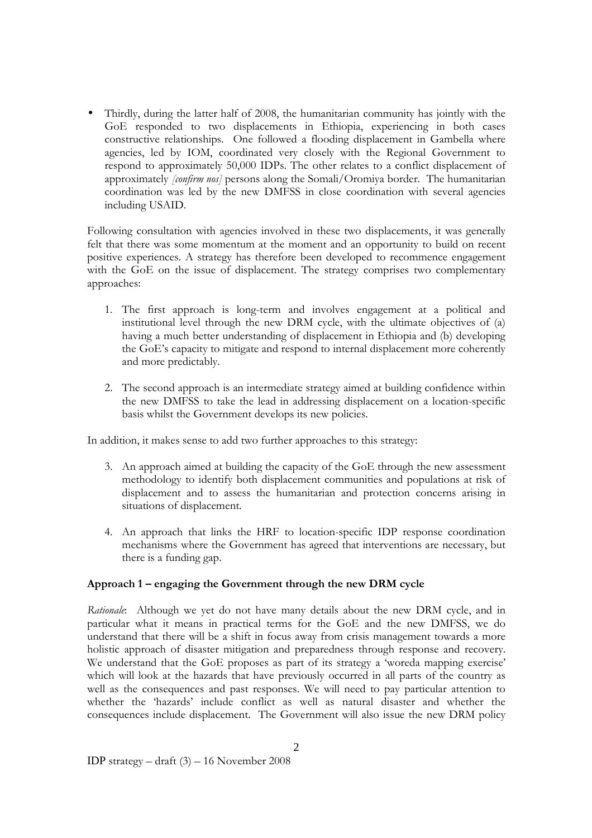• Thirdly, during the latter half of 2008, the humanitarian community has jointly with the GoE responded to two displacements in Ethiopia, experiencing in both cases constructive relationships. One followed a flooding displacement in Gambella where agencies, led by IOM, coordinated very closely with the Regional Government to respond to approximately 50,000 IDPs. The other relates to a conflict displacement of approximately [confirm nos] persons along the Somali/Oromiya border. The humanitarian coordination was led by the new DMFSS in close coordination with several agencies including USAID.

Following consultation with agencies involved in these two displacements, it was generally felt that there was some momentum at the moment and an opportunity to build on recent positive experiences. A strategy has therefore been developed to recommence engagement with the GoE on the issue of displacement. The strategy comprises two complementary approaches:

- 1. The first approach is long-term and involves engagement at a political and institutional level through the new DRM cycle, with the ultimate objectives of (a) having a much better understanding of displacement in Ethiopia and (b) developing the GoE's capacity to mitigate and respond to internal displacement more coherently and more predictably.
- 2. The second approach is an intermediate strategy aimed at building confidence within the new DMFSS to take the lead in addressing displacement on a location-specific basis whilst the Government develops its new policies.

In addition, it makes sense to add two further approaches to this strategy:

- 3. An approach aimed at building the capacity of the GoE through the new assessment methodology to identify both displacement communities and populations at risk of displacement and to assess the humanitarian and protection concerns arising in situations of displacement.
- 4. An approach that links the HRF to location-specific IDP response coordination mechanisms where the Government has agreed that interventions are necessary, but there is a funding gap.

# Approach 1 – engaging the Government through the new DRM cycle

Rationale: Although we yet do not have many details about the new DRM cycle, and in particular what it means in practical terms for the GoE and the new DMFSS, we do understand that there will be a shift in focus away from crisis management towards a more holistic approach of disaster mitigation and preparedness through response and recovery. We understand that the GoE proposes as part of its strategy a 'woreda mapping exercise' which will look at the hazards that have previously occurred in all parts of the country as well as the consequences and past responses. We will need to pay particular attention to whether the 'hazards' include conflict as well as natural disaster and whether the consequences include displacement. The Government will also issue the new DRM policy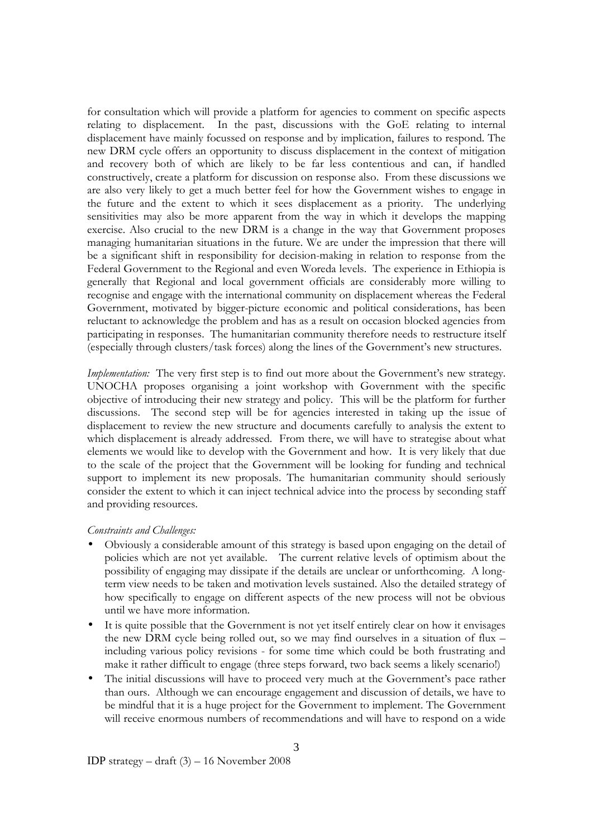for consultation which will provide a platform for agencies to comment on specific aspects relating to displacement. In the past, discussions with the GoE relating to internal displacement have mainly focussed on response and by implication, failures to respond. The new DRM cycle offers an opportunity to discuss displacement in the context of mitigation and recovery both of which are likely to be far less contentious and can, if handled constructively, create a platform for discussion on response also. From these discussions we are also very likely to get a much better feel for how the Government wishes to engage in the future and the extent to which it sees displacement as a priority. The underlying sensitivities may also be more apparent from the way in which it develops the mapping exercise. Also crucial to the new DRM is a change in the way that Government proposes managing humanitarian situations in the future. We are under the impression that there will be a significant shift in responsibility for decision-making in relation to response from the Federal Government to the Regional and even Woreda levels. The experience in Ethiopia is generally that Regional and local government officials are considerably more willing to recognise and engage with the international community on displacement whereas the Federal Government, motivated by bigger-picture economic and political considerations, has been reluctant to acknowledge the problem and has as a result on occasion blocked agencies from participating in responses. The humanitarian community therefore needs to restructure itself (especially through clusters/task forces) along the lines of the Government's new structures.

Implementation: The very first step is to find out more about the Government's new strategy. UNOCHA proposes organising a joint workshop with Government with the specific objective of introducing their new strategy and policy. This will be the platform for further discussions. The second step will be for agencies interested in taking up the issue of displacement to review the new structure and documents carefully to analysis the extent to which displacement is already addressed. From there, we will have to strategise about what elements we would like to develop with the Government and how. It is very likely that due to the scale of the project that the Government will be looking for funding and technical support to implement its new proposals. The humanitarian community should seriously consider the extent to which it can inject technical advice into the process by seconding staff and providing resources.

### Constraints and Challenges:

- Obviously a considerable amount of this strategy is based upon engaging on the detail of policies which are not yet available. The current relative levels of optimism about the possibility of engaging may dissipate if the details are unclear or unforthcoming. A longterm view needs to be taken and motivation levels sustained. Also the detailed strategy of how specifically to engage on different aspects of the new process will not be obvious until we have more information.
- It is quite possible that the Government is not yet itself entirely clear on how it envisages the new DRM cycle being rolled out, so we may find ourselves in a situation of flux – including various policy revisions - for some time which could be both frustrating and make it rather difficult to engage (three steps forward, two back seems a likely scenario!)
- The initial discussions will have to proceed very much at the Government's pace rather than ours. Although we can encourage engagement and discussion of details, we have to be mindful that it is a huge project for the Government to implement. The Government will receive enormous numbers of recommendations and will have to respond on a wide

IDP strategy – draft (3) – 16 November 2008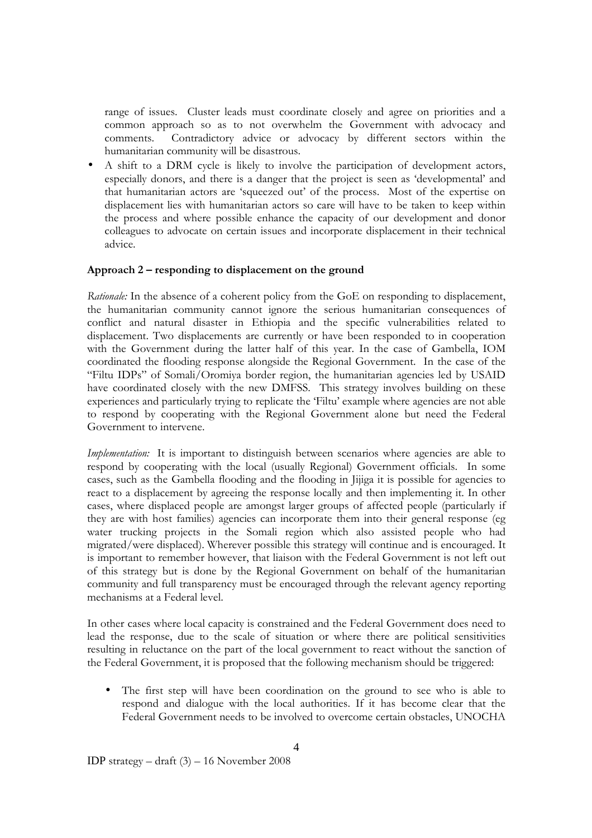range of issues. Cluster leads must coordinate closely and agree on priorities and a common approach so as to not overwhelm the Government with advocacy and comments. Contradictory advice or advocacy by different sectors within the humanitarian community will be disastrous.

• A shift to a DRM cycle is likely to involve the participation of development actors, especially donors, and there is a danger that the project is seen as 'developmental' and that humanitarian actors are 'squeezed out' of the process. Most of the expertise on displacement lies with humanitarian actors so care will have to be taken to keep within the process and where possible enhance the capacity of our development and donor colleagues to advocate on certain issues and incorporate displacement in their technical advice.

### Approach 2 – responding to displacement on the ground

Rationale: In the absence of a coherent policy from the GoE on responding to displacement, the humanitarian community cannot ignore the serious humanitarian consequences of conflict and natural disaster in Ethiopia and the specific vulnerabilities related to displacement. Two displacements are currently or have been responded to in cooperation with the Government during the latter half of this year. In the case of Gambella, IOM coordinated the flooding response alongside the Regional Government. In the case of the "Filtu IDPs" of Somali/Oromiya border region, the humanitarian agencies led by USAID have coordinated closely with the new DMFSS. This strategy involves building on these experiences and particularly trying to replicate the 'Filtu' example where agencies are not able to respond by cooperating with the Regional Government alone but need the Federal Government to intervene.

Implementation: It is important to distinguish between scenarios where agencies are able to respond by cooperating with the local (usually Regional) Government officials. In some cases, such as the Gambella flooding and the flooding in Jijiga it is possible for agencies to react to a displacement by agreeing the response locally and then implementing it. In other cases, where displaced people are amongst larger groups of affected people (particularly if they are with host families) agencies can incorporate them into their general response (eg water trucking projects in the Somali region which also assisted people who had migrated/were displaced). Wherever possible this strategy will continue and is encouraged. It is important to remember however, that liaison with the Federal Government is not left out of this strategy but is done by the Regional Government on behalf of the humanitarian community and full transparency must be encouraged through the relevant agency reporting mechanisms at a Federal level.

In other cases where local capacity is constrained and the Federal Government does need to lead the response, due to the scale of situation or where there are political sensitivities resulting in reluctance on the part of the local government to react without the sanction of the Federal Government, it is proposed that the following mechanism should be triggered:

• The first step will have been coordination on the ground to see who is able to respond and dialogue with the local authorities. If it has become clear that the Federal Government needs to be involved to overcome certain obstacles, UNOCHA

IDP strategy – draft (3) – 16 November 2008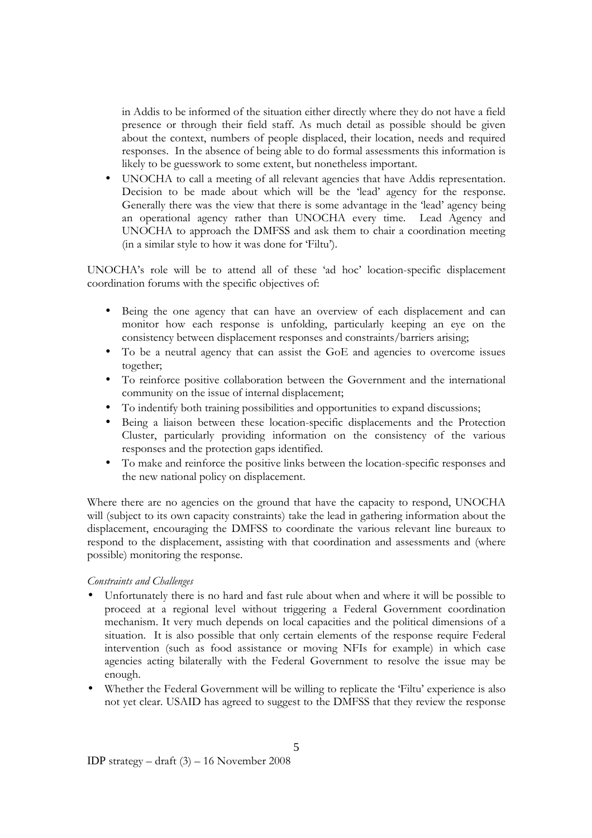in Addis to be informed of the situation either directly where they do not have a field presence or through their field staff. As much detail as possible should be given about the context, numbers of people displaced, their location, needs and required responses. In the absence of being able to do formal assessments this information is likely to be guesswork to some extent, but nonetheless important.

• UNOCHA to call a meeting of all relevant agencies that have Addis representation. Decision to be made about which will be the 'lead' agency for the response. Generally there was the view that there is some advantage in the 'lead' agency being an operational agency rather than UNOCHA every time. Lead Agency and UNOCHA to approach the DMFSS and ask them to chair a coordination meeting (in a similar style to how it was done for 'Filtu').

UNOCHA's role will be to attend all of these 'ad hoc' location-specific displacement coordination forums with the specific objectives of:

- Being the one agency that can have an overview of each displacement and can monitor how each response is unfolding, particularly keeping an eye on the consistency between displacement responses and constraints/barriers arising;
- To be a neutral agency that can assist the GoE and agencies to overcome issues together;
- To reinforce positive collaboration between the Government and the international community on the issue of internal displacement;
- To indentify both training possibilities and opportunities to expand discussions;
- Being a liaison between these location-specific displacements and the Protection Cluster, particularly providing information on the consistency of the various responses and the protection gaps identified.
- To make and reinforce the positive links between the location-specific responses and the new national policy on displacement.

Where there are no agencies on the ground that have the capacity to respond, UNOCHA will (subject to its own capacity constraints) take the lead in gathering information about the displacement, encouraging the DMFSS to coordinate the various relevant line bureaux to respond to the displacement, assisting with that coordination and assessments and (where possible) monitoring the response.

### Constraints and Challenges

- Unfortunately there is no hard and fast rule about when and where it will be possible to proceed at a regional level without triggering a Federal Government coordination mechanism. It very much depends on local capacities and the political dimensions of a situation. It is also possible that only certain elements of the response require Federal intervention (such as food assistance or moving NFIs for example) in which case agencies acting bilaterally with the Federal Government to resolve the issue may be enough.
- Whether the Federal Government will be willing to replicate the 'Filtu' experience is also not yet clear. USAID has agreed to suggest to the DMFSS that they review the response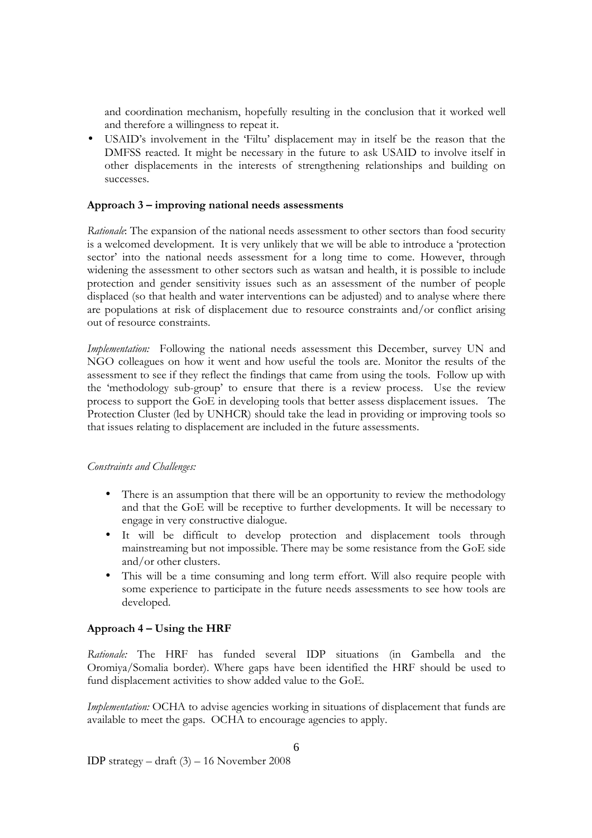and coordination mechanism, hopefully resulting in the conclusion that it worked well and therefore a willingness to repeat it.

• USAID's involvement in the 'Filtu' displacement may in itself be the reason that the DMFSS reacted. It might be necessary in the future to ask USAID to involve itself in other displacements in the interests of strengthening relationships and building on successes.

## Approach 3 – improving national needs assessments

Rationale: The expansion of the national needs assessment to other sectors than food security is a welcomed development. It is very unlikely that we will be able to introduce a 'protection sector' into the national needs assessment for a long time to come. However, through widening the assessment to other sectors such as watsan and health, it is possible to include protection and gender sensitivity issues such as an assessment of the number of people displaced (so that health and water interventions can be adjusted) and to analyse where there are populations at risk of displacement due to resource constraints and/or conflict arising out of resource constraints.

Implementation: Following the national needs assessment this December, survey UN and NGO colleagues on how it went and how useful the tools are. Monitor the results of the assessment to see if they reflect the findings that came from using the tools. Follow up with the 'methodology sub-group' to ensure that there is a review process. Use the review process to support the GoE in developing tools that better assess displacement issues. The Protection Cluster (led by UNHCR) should take the lead in providing or improving tools so that issues relating to displacement are included in the future assessments.

#### Constraints and Challenges:

- There is an assumption that there will be an opportunity to review the methodology and that the GoE will be receptive to further developments. It will be necessary to engage in very constructive dialogue.
- It will be difficult to develop protection and displacement tools through mainstreaming but not impossible. There may be some resistance from the GoE side and/or other clusters.
- This will be a time consuming and long term effort. Will also require people with some experience to participate in the future needs assessments to see how tools are developed.

### Approach 4 – Using the HRF

Rationale: The HRF has funded several IDP situations (in Gambella and the Oromiya/Somalia border). Where gaps have been identified the HRF should be used to fund displacement activities to show added value to the GoE.

Implementation: OCHA to advise agencies working in situations of displacement that funds are available to meet the gaps. OCHA to encourage agencies to apply.

IDP strategy – draft (3) – 16 November 2008